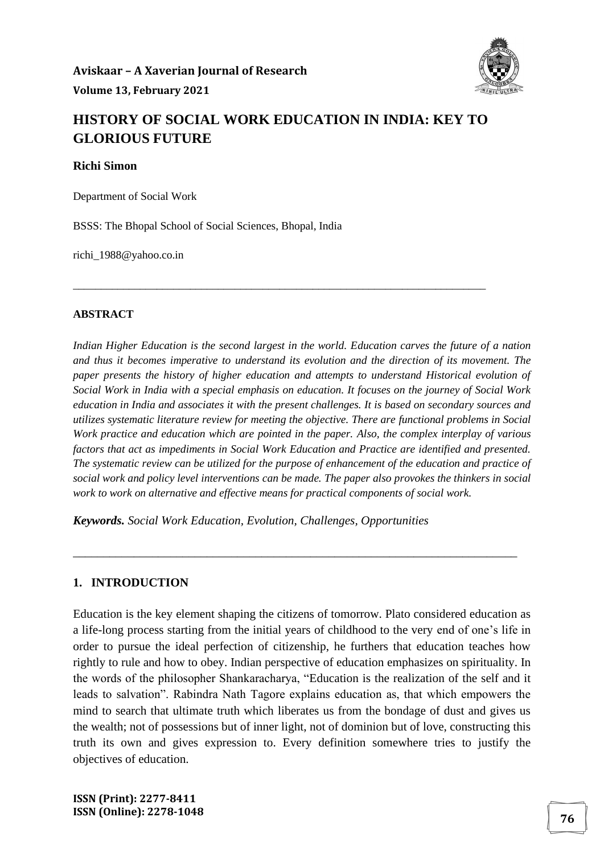

# **HISTORY OF SOCIAL WORK EDUCATION IN INDIA: KEY TO GLORIOUS FUTURE**

\_\_\_\_\_\_\_\_\_\_\_\_\_\_\_\_\_\_\_\_\_\_\_\_\_\_\_\_\_\_\_\_\_\_\_\_\_\_\_\_\_\_\_\_\_\_\_\_\_\_\_\_\_\_\_\_\_\_\_\_\_\_\_\_\_\_\_\_\_\_\_\_\_\_

**Richi Simon**

Department of Social Work

BSSS: The Bhopal School of Social Sciences, Bhopal, India

richi\_1988@yahoo.co.in

#### **ABSTRACT**

*Indian Higher Education is the second largest in the world. Education carves the future of a nation and thus it becomes imperative to understand its evolution and the direction of its movement. The paper presents the history of higher education and attempts to understand Historical evolution of Social Work in India with a special emphasis on education. It focuses on the journey of Social Work education in India and associates it with the present challenges. It is based on secondary sources and utilizes systematic literature review for meeting the objective. There are functional problems in Social Work practice and education which are pointed in the paper. Also, the complex interplay of various factors that act as impediments in Social Work Education and Practice are identified and presented. The systematic review can be utilized for the purpose of enhancement of the education and practice of social work and policy level interventions can be made. The paper also provokes the thinkers in social work to work on alternative and effective means for practical components of social work.*

\_\_\_\_\_\_\_\_\_\_\_\_\_\_\_\_\_\_\_\_\_\_\_\_\_\_\_\_\_\_\_\_\_\_\_\_\_\_\_\_\_\_\_\_\_\_\_\_\_\_\_\_\_\_\_\_\_\_\_\_\_\_\_\_\_\_\_\_\_\_\_\_\_

*Keywords. Social Work Education, Evolution, Challenges, Opportunities*

#### **1. INTRODUCTION**

Education is the key element shaping the citizens of tomorrow. Plato considered education as a life-long process starting from the initial years of childhood to the very end of one's life in order to pursue the ideal perfection of citizenship, he furthers that education teaches how rightly to rule and how to obey. Indian perspective of education emphasizes on spirituality. In the words of the philosopher Shankaracharya, "Education is the realization of the self and it leads to salvation". Rabindra Nath Tagore explains education as, that which empowers the mind to search that ultimate truth which liberates us from the bondage of dust and gives us the wealth; not of possessions but of inner light, not of dominion but of love, constructing this truth its own and gives expression to. Every definition somewhere tries to justify the objectives of education.

**ISSN (Print): 2277-8411 ISSN (Online): 2278-1048 <sup>76</sup>**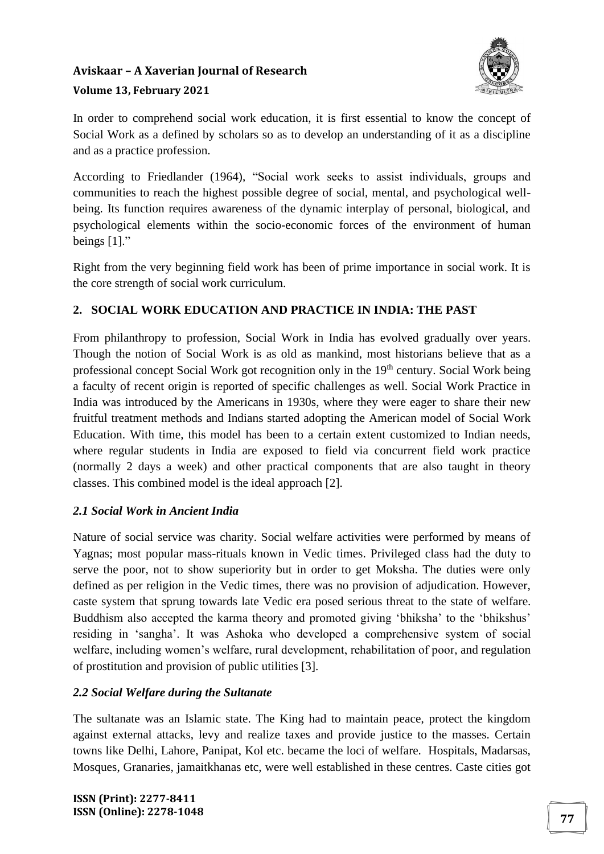

In order to comprehend social work education, it is first essential to know the concept of Social Work as a defined by scholars so as to develop an understanding of it as a discipline and as a practice profession.

According to Friedlander (1964), "Social work seeks to assist individuals, groups and communities to reach the highest possible degree of social, mental, and psychological wellbeing. Its function requires awareness of the dynamic interplay of personal, biological, and psychological elements within the socio-economic forces of the environment of human beings [1]."

Right from the very beginning field work has been of prime importance in social work. It is the core strength of social work curriculum.

### **2. SOCIAL WORK EDUCATION AND PRACTICE IN INDIA: THE PAST**

From philanthropy to profession, Social Work in India has evolved gradually over years. Though the notion of Social Work is as old as mankind, most historians believe that as a professional concept Social Work got recognition only in the 19<sup>th</sup> century. Social Work being a faculty of recent origin is reported of specific challenges as well. Social Work Practice in India was introduced by the Americans in 1930s, where they were eager to share their new fruitful treatment methods and Indians started adopting the American model of Social Work Education. With time, this model has been to a certain extent customized to Indian needs, where regular students in India are exposed to field via concurrent field work practice (normally 2 days a week) and other practical components that are also taught in theory classes. This combined model is the ideal approach [2].

### *2.1 Social Work in Ancient India*

Nature of social service was charity. Social welfare activities were performed by means of Yagnas; most popular mass-rituals known in Vedic times. Privileged class had the duty to serve the poor, not to show superiority but in order to get Moksha. The duties were only defined as per religion in the Vedic times, there was no provision of adjudication. However, caste system that sprung towards late Vedic era posed serious threat to the state of welfare. Buddhism also accepted the karma theory and promoted giving 'bhiksha' to the 'bhikshus' residing in 'sangha'. It was Ashoka who developed a comprehensive system of social welfare, including women's welfare, rural development, rehabilitation of poor, and regulation of prostitution and provision of public utilities [3].

### *2.2 Social Welfare during the Sultanate*

The sultanate was an Islamic state. The King had to maintain peace, protect the kingdom against external attacks, levy and realize taxes and provide justice to the masses. Certain towns like Delhi, Lahore, Panipat, Kol etc. became the loci of welfare. Hospitals, Madarsas, Mosques, Granaries, jamaitkhanas etc, were well established in these centres. Caste cities got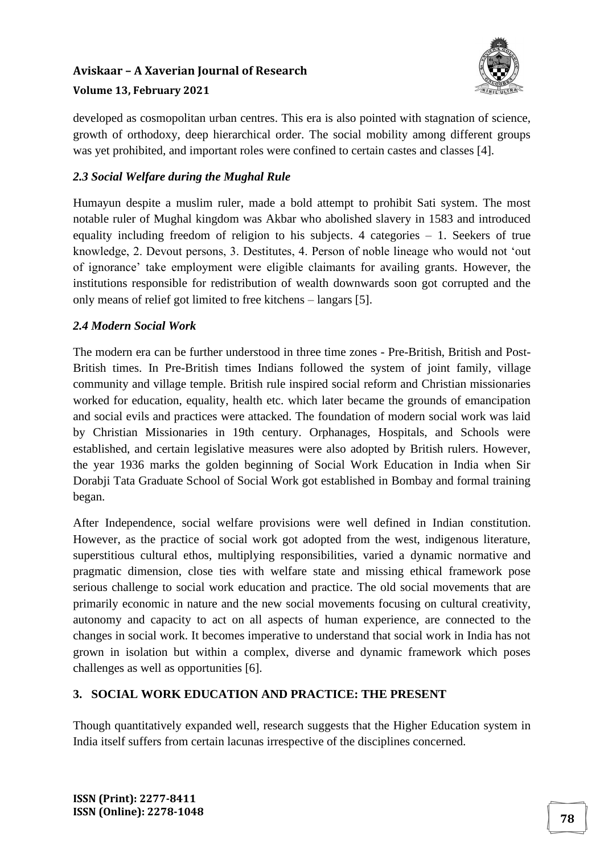### **Aviskaar – A Xaverian Journal of Research**



#### **Volume 13, February 2021**

developed as cosmopolitan urban centres. This era is also pointed with stagnation of science, growth of orthodoxy, deep hierarchical order. The social mobility among different groups was yet prohibited, and important roles were confined to certain castes and classes [4].

#### *2.3 Social Welfare during the Mughal Rule*

Humayun despite a muslim ruler, made a bold attempt to prohibit Sati system. The most notable ruler of Mughal kingdom was Akbar who abolished slavery in 1583 and introduced equality including freedom of religion to his subjects. 4 categories – 1. Seekers of true knowledge, 2. Devout persons, 3. Destitutes, 4. Person of noble lineage who would not 'out of ignorance' take employment were eligible claimants for availing grants. However, the institutions responsible for redistribution of wealth downwards soon got corrupted and the only means of relief got limited to free kitchens – langars [5].

#### *2.4 Modern Social Work*

The modern era can be further understood in three time zones - Pre-British, British and Post-British times. In Pre-British times Indians followed the system of joint family, village community and village temple. British rule inspired social reform and Christian missionaries worked for education, equality, health etc. which later became the grounds of emancipation and social evils and practices were attacked. The foundation of modern social work was laid by Christian Missionaries in 19th century. Orphanages, Hospitals, and Schools were established, and certain legislative measures were also adopted by British rulers. However, the year 1936 marks the golden beginning of Social Work Education in India when Sir Dorabji Tata Graduate School of Social Work got established in Bombay and formal training began.

After Independence, social welfare provisions were well defined in Indian constitution. However, as the practice of social work got adopted from the west, indigenous literature, superstitious cultural ethos, multiplying responsibilities, varied a dynamic normative and pragmatic dimension, close ties with welfare state and missing ethical framework pose serious challenge to social work education and practice. The old social movements that are primarily economic in nature and the new social movements focusing on cultural creativity, autonomy and capacity to act on all aspects of human experience, are connected to the changes in social work. It becomes imperative to understand that social work in India has not grown in isolation but within a complex, diverse and dynamic framework which poses challenges as well as opportunities [6].

### **3. SOCIAL WORK EDUCATION AND PRACTICE: THE PRESENT**

Though quantitatively expanded well, research suggests that the Higher Education system in India itself suffers from certain lacunas irrespective of the disciplines concerned.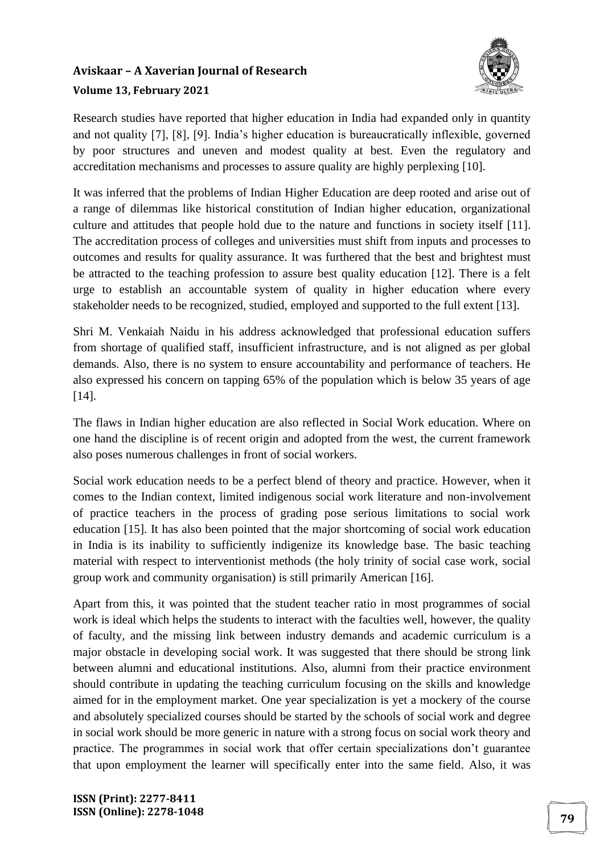

Research studies have reported that higher education in India had expanded only in quantity and not quality [7], [8], [9]. India's higher education is bureaucratically inflexible, governed by poor structures and uneven and modest quality at best. Even the regulatory and accreditation mechanisms and processes to assure quality are highly perplexing [10].

It was inferred that the problems of Indian Higher Education are deep rooted and arise out of a range of dilemmas like historical constitution of Indian higher education, organizational culture and attitudes that people hold due to the nature and functions in society itself [11]. The accreditation process of colleges and universities must shift from inputs and processes to outcomes and results for quality assurance. It was furthered that the best and brightest must be attracted to the teaching profession to assure best quality education [12]. There is a felt urge to establish an accountable system of quality in higher education where every stakeholder needs to be recognized, studied, employed and supported to the full extent [13].

Shri M. Venkaiah Naidu in his address acknowledged that professional education suffers from shortage of qualified staff, insufficient infrastructure, and is not aligned as per global demands. Also, there is no system to ensure accountability and performance of teachers. He also expressed his concern on tapping 65% of the population which is below 35 years of age [14].

The flaws in Indian higher education are also reflected in Social Work education. Where on one hand the discipline is of recent origin and adopted from the west, the current framework also poses numerous challenges in front of social workers.

Social work education needs to be a perfect blend of theory and practice. However, when it comes to the Indian context, limited indigenous social work literature and non-involvement of practice teachers in the process of grading pose serious limitations to social work education [15]. It has also been pointed that the major shortcoming of social work education in India is its inability to sufficiently indigenize its knowledge base. The basic teaching material with respect to interventionist methods (the holy trinity of social case work, social group work and community organisation) is still primarily American [16].

Apart from this, it was pointed that the student teacher ratio in most programmes of social work is ideal which helps the students to interact with the faculties well, however, the quality of faculty, and the missing link between industry demands and academic curriculum is a major obstacle in developing social work. It was suggested that there should be strong link between alumni and educational institutions. Also, alumni from their practice environment should contribute in updating the teaching curriculum focusing on the skills and knowledge aimed for in the employment market. One year specialization is yet a mockery of the course and absolutely specialized courses should be started by the schools of social work and degree in social work should be more generic in nature with a strong focus on social work theory and practice. The programmes in social work that offer certain specializations don't guarantee that upon employment the learner will specifically enter into the same field. Also, it was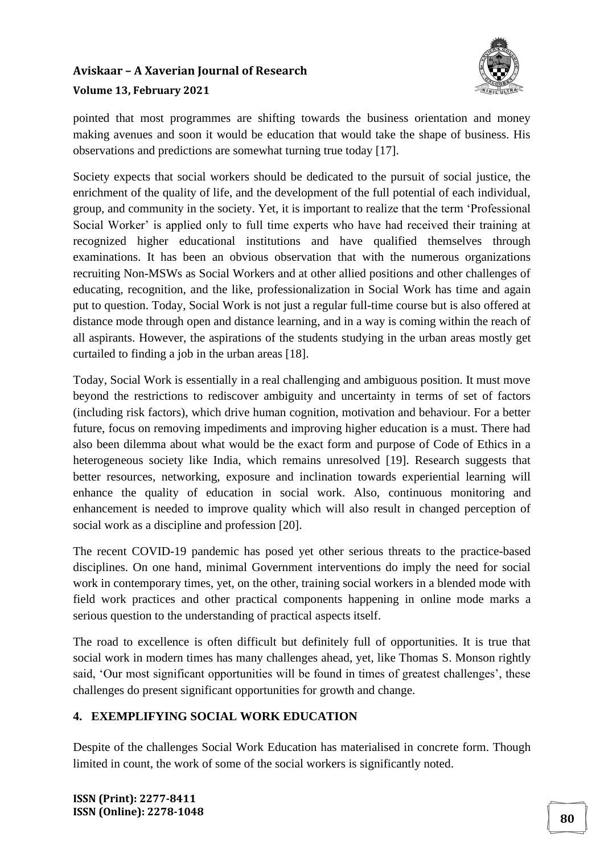

pointed that most programmes are shifting towards the business orientation and money making avenues and soon it would be education that would take the shape of business. His observations and predictions are somewhat turning true today [17].

Society expects that social workers should be dedicated to the pursuit of social justice, the enrichment of the quality of life, and the development of the full potential of each individual, group, and community in the society. Yet, it is important to realize that the term 'Professional Social Worker' is applied only to full time experts who have had received their training at recognized higher educational institutions and have qualified themselves through examinations. It has been an obvious observation that with the numerous organizations recruiting Non-MSWs as Social Workers and at other allied positions and other challenges of educating, recognition, and the like, professionalization in Social Work has time and again put to question. Today, Social Work is not just a regular full-time course but is also offered at distance mode through open and distance learning, and in a way is coming within the reach of all aspirants. However, the aspirations of the students studying in the urban areas mostly get curtailed to finding a job in the urban areas [18].

Today, Social Work is essentially in a real challenging and ambiguous position. It must move beyond the restrictions to rediscover ambiguity and uncertainty in terms of set of factors (including risk factors), which drive human cognition, motivation and behaviour. For a better future, focus on removing impediments and improving higher education is a must. There had also been dilemma about what would be the exact form and purpose of Code of Ethics in a heterogeneous society like India, which remains unresolved [19]. Research suggests that better resources, networking, exposure and inclination towards experiential learning will enhance the quality of education in social work. Also, continuous monitoring and enhancement is needed to improve quality which will also result in changed perception of social work as a discipline and profession [20].

The recent COVID-19 pandemic has posed yet other serious threats to the practice-based disciplines. On one hand, minimal Government interventions do imply the need for social work in contemporary times, yet, on the other, training social workers in a blended mode with field work practices and other practical components happening in online mode marks a serious question to the understanding of practical aspects itself.

The road to excellence is often difficult but definitely full of opportunities. It is true that social work in modern times has many challenges ahead, yet, like Thomas S. Monson rightly said, 'Our most significant opportunities will be found in times of greatest challenges', these challenges do present significant opportunities for growth and change.

### **4. EXEMPLIFYING SOCIAL WORK EDUCATION**

Despite of the challenges Social Work Education has materialised in concrete form. Though limited in count, the work of some of the social workers is significantly noted.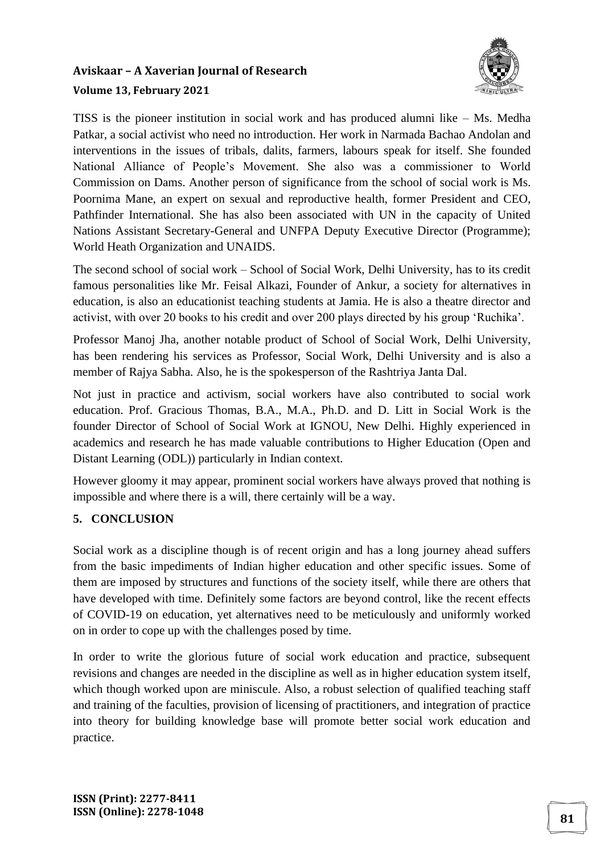

TISS is the pioneer institution in social work and has produced alumni like – Ms. Medha Patkar, a social activist who need no introduction. Her work in Narmada Bachao Andolan and interventions in the issues of tribals, dalits, farmers, labours speak for itself. She founded National Alliance of People's Movement. She also was a commissioner to World Commission on Dams. Another person of significance from the school of social work is Ms. Poornima Mane, an expert on sexual and reproductive health, former President and CEO, Pathfinder International. She has also been associated with UN in the capacity of United Nations Assistant Secretary-General and UNFPA Deputy Executive Director (Programme); World Heath Organization and UNAIDS.

The second school of social work – School of Social Work, Delhi University, has to its credit famous personalities like Mr. Feisal Alkazi, Founder of Ankur, a society for alternatives in education, is also an educationist teaching students at Jamia. He is also a theatre director and activist, with over 20 books to his credit and over 200 plays directed by his group 'Ruchika'.

Professor Manoj Jha, another notable product of School of Social Work, Delhi University, has been rendering his services as Professor, Social Work, Delhi University and is also a member of Rajya Sabha. Also, he is the spokesperson of the Rashtriya Janta Dal.

Not just in practice and activism, social workers have also contributed to social work education. Prof. Gracious Thomas, B.A., M.A., Ph.D. and D. Litt in Social Work is the founder Director of School of Social Work at IGNOU, New Delhi. Highly experienced in academics and research he has made valuable contributions to Higher Education (Open and Distant Learning (ODL)) particularly in Indian context.

However gloomy it may appear, prominent social workers have always proved that nothing is impossible and where there is a will, there certainly will be a way.

### **5. CONCLUSION**

Social work as a discipline though is of recent origin and has a long journey ahead suffers from the basic impediments of Indian higher education and other specific issues. Some of them are imposed by structures and functions of the society itself, while there are others that have developed with time. Definitely some factors are beyond control, like the recent effects of COVID-19 on education, yet alternatives need to be meticulously and uniformly worked on in order to cope up with the challenges posed by time.

In order to write the glorious future of social work education and practice, subsequent revisions and changes are needed in the discipline as well as in higher education system itself, which though worked upon are miniscule. Also, a robust selection of qualified teaching staff and training of the faculties, provision of licensing of practitioners, and integration of practice into theory for building knowledge base will promote better social work education and practice.